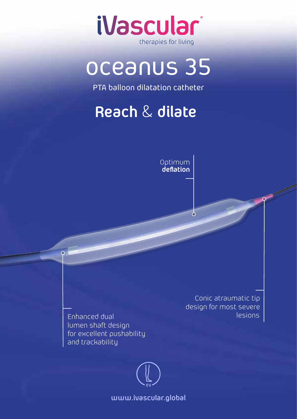

# oceanus 35

PTA balloon dilatation catheter

## **Reach** & **dilate**



 $\sigma$ 

Enhanced dual lumen shaft design for excellent pushability and trackability

 $\overline{O}$ 

Conic atraumatic tip design for most severe lesions

**www.ivascular.global**